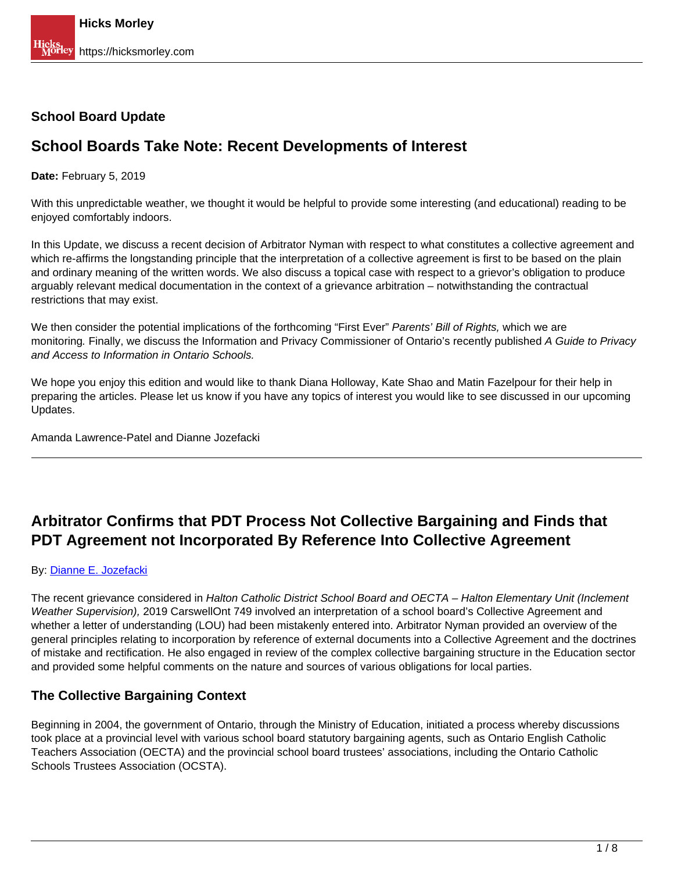## **School Board Update**

# **School Boards Take Note: Recent Developments of Interest**

### **Date:** February 5, 2019

With this unpredictable weather, we thought it would be helpful to provide some interesting (and educational) reading to be enjoyed comfortably indoors.

In this Update, we discuss a recent decision of Arbitrator Nyman with respect to what constitutes a collective agreement and which re-affirms the longstanding principle that the interpretation of a collective agreement is first to be based on the plain and ordinary meaning of the written words. We also discuss a topical case with respect to a grievor's obligation to produce arguably relevant medical documentation in the context of a grievance arbitration – notwithstanding the contractual restrictions that may exist.

We then consider the potential implications of the forthcoming "First Ever" Parents' Bill of Rights, which we are monitoring. Finally, we discuss the Information and Privacy Commissioner of Ontario's recently published A Guide to Privacy and Access to Information in Ontario Schools.

We hope you enjoy this edition and would like to thank Diana Holloway, Kate Shao and Matin Fazelpour for their help in preparing the articles. Please let us know if you have any topics of interest you would like to see discussed in our upcoming Updates.

Amanda Lawrence-Patel and Dianne Jozefacki

# **Arbitrator Confirms that PDT Process Not Collective Bargaining and Finds that PDT Agreement not Incorporated By Reference Into Collective Agreement**

#### By: [Dianne E. Jozefacki](https://hicksmorley.com/people/dianne-e-jozefacki/)

The recent grievance considered in Halton Catholic District School Board and OECTA – Halton Elementary Unit (Inclement Weather Supervision), 2019 CarswellOnt 749 involved an interpretation of a school board's Collective Agreement and whether a letter of understanding (LOU) had been mistakenly entered into. Arbitrator Nyman provided an overview of the general principles relating to incorporation by reference of external documents into a Collective Agreement and the doctrines of mistake and rectification. He also engaged in review of the complex collective bargaining structure in the Education sector and provided some helpful comments on the nature and sources of various obligations for local parties.

### **The Collective Bargaining Context**

Beginning in 2004, the government of Ontario, through the Ministry of Education, initiated a process whereby discussions took place at a provincial level with various school board statutory bargaining agents, such as Ontario English Catholic Teachers Association (OECTA) and the provincial school board trustees' associations, including the Ontario Catholic Schools Trustees Association (OCSTA).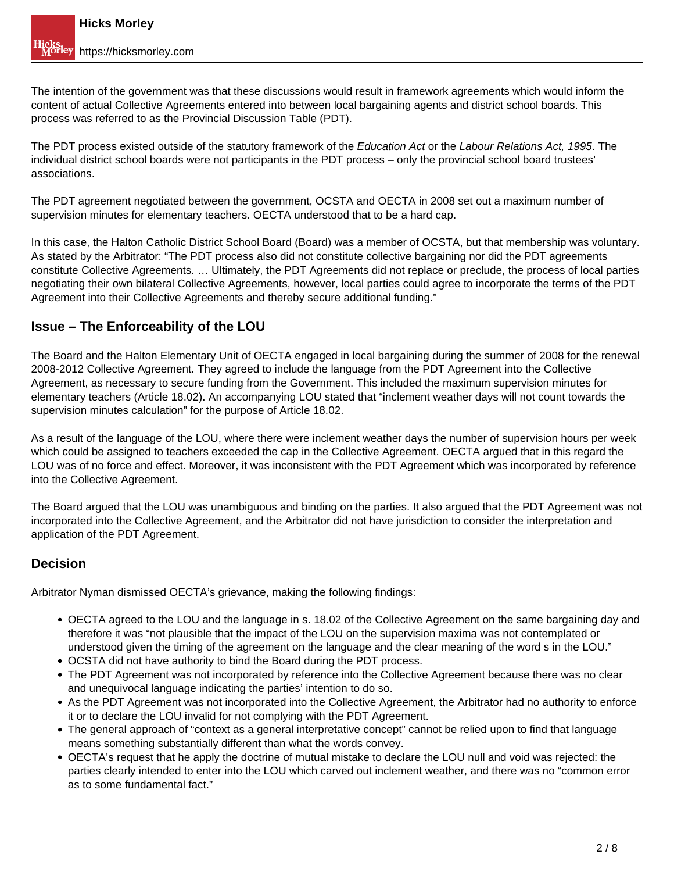The intention of the government was that these discussions would result in framework agreements which would inform the content of actual Collective Agreements entered into between local bargaining agents and district school boards. This process was referred to as the Provincial Discussion Table (PDT).

The PDT process existed outside of the statutory framework of the Education Act or the Labour Relations Act, 1995. The individual district school boards were not participants in the PDT process – only the provincial school board trustees' associations.

The PDT agreement negotiated between the government, OCSTA and OECTA in 2008 set out a maximum number of supervision minutes for elementary teachers. OECTA understood that to be a hard cap.

In this case, the Halton Catholic District School Board (Board) was a member of OCSTA, but that membership was voluntary. As stated by the Arbitrator: "The PDT process also did not constitute collective bargaining nor did the PDT agreements constitute Collective Agreements. … Ultimately, the PDT Agreements did not replace or preclude, the process of local parties negotiating their own bilateral Collective Agreements, however, local parties could agree to incorporate the terms of the PDT Agreement into their Collective Agreements and thereby secure additional funding."

# **Issue – The Enforceability of the LOU**

The Board and the Halton Elementary Unit of OECTA engaged in local bargaining during the summer of 2008 for the renewal 2008-2012 Collective Agreement. They agreed to include the language from the PDT Agreement into the Collective Agreement, as necessary to secure funding from the Government. This included the maximum supervision minutes for elementary teachers (Article 18.02). An accompanying LOU stated that "inclement weather days will not count towards the supervision minutes calculation" for the purpose of Article 18.02.

As a result of the language of the LOU, where there were inclement weather days the number of supervision hours per week which could be assigned to teachers exceeded the cap in the Collective Agreement. OECTA argued that in this regard the LOU was of no force and effect. Moreover, it was inconsistent with the PDT Agreement which was incorporated by reference into the Collective Agreement.

The Board argued that the LOU was unambiguous and binding on the parties. It also argued that the PDT Agreement was not incorporated into the Collective Agreement, and the Arbitrator did not have jurisdiction to consider the interpretation and application of the PDT Agreement.

# **Decision**

Arbitrator Nyman dismissed OECTA's grievance, making the following findings:

- OECTA agreed to the LOU and the language in s. 18.02 of the Collective Agreement on the same bargaining day and therefore it was "not plausible that the impact of the LOU on the supervision maxima was not contemplated or understood given the timing of the agreement on the language and the clear meaning of the word s in the LOU."
- OCSTA did not have authority to bind the Board during the PDT process.
- The PDT Agreement was not incorporated by reference into the Collective Agreement because there was no clear and unequivocal language indicating the parties' intention to do so.
- As the PDT Agreement was not incorporated into the Collective Agreement, the Arbitrator had no authority to enforce it or to declare the LOU invalid for not complying with the PDT Agreement.
- The general approach of "context as a general interpretative concept" cannot be relied upon to find that language means something substantially different than what the words convey.
- OECTA's request that he apply the doctrine of mutual mistake to declare the LOU null and void was rejected: the parties clearly intended to enter into the LOU which carved out inclement weather, and there was no "common error as to some fundamental fact."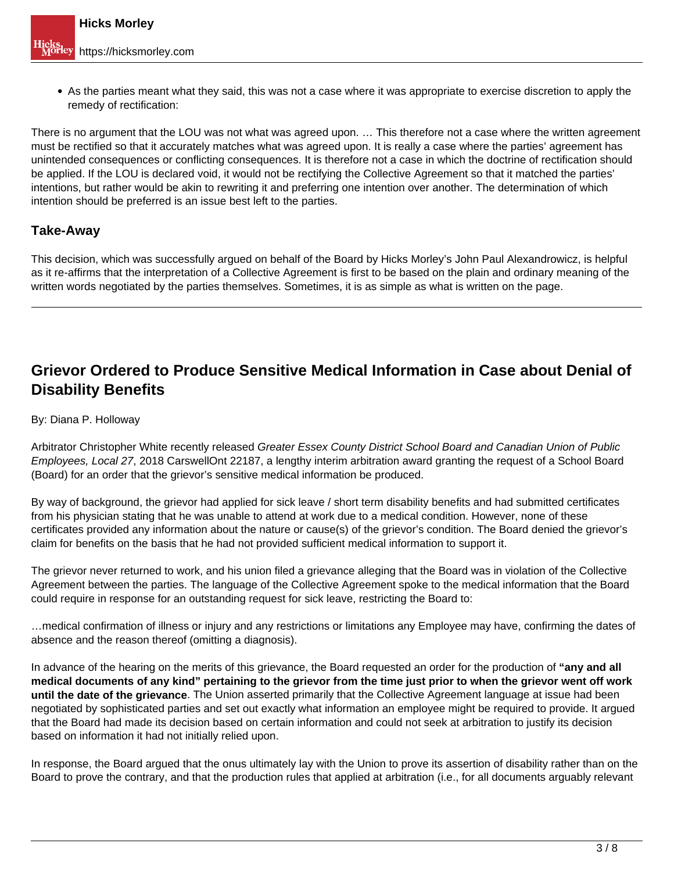As the parties meant what they said, this was not a case where it was appropriate to exercise discretion to apply the remedy of rectification:

There is no argument that the LOU was not what was agreed upon. … This therefore not a case where the written agreement must be rectified so that it accurately matches what was agreed upon. It is really a case where the parties' agreement has unintended consequences or conflicting consequences. It is therefore not a case in which the doctrine of rectification should be applied. If the LOU is declared void, it would not be rectifying the Collective Agreement so that it matched the parties' intentions, but rather would be akin to rewriting it and preferring one intention over another. The determination of which intention should be preferred is an issue best left to the parties.

# **Take-Away**

This decision, which was successfully argued on behalf of the Board by Hicks Morley's John Paul Alexandrowicz, is helpful as it re-affirms that the interpretation of a Collective Agreement is first to be based on the plain and ordinary meaning of the written words negotiated by the parties themselves. Sometimes, it is as simple as what is written on the page.

# **Grievor Ordered to Produce Sensitive Medical Information in Case about Denial of Disability Benefits**

### By: Diana P. Holloway

Arbitrator Christopher White recently released Greater Essex County District School Board and Canadian Union of Public Employees, Local 27, 2018 CarswellOnt 22187, a lengthy interim arbitration award granting the request of a School Board (Board) for an order that the grievor's sensitive medical information be produced.

By way of background, the grievor had applied for sick leave / short term disability benefits and had submitted certificates from his physician stating that he was unable to attend at work due to a medical condition. However, none of these certificates provided any information about the nature or cause(s) of the grievor's condition. The Board denied the grievor's claim for benefits on the basis that he had not provided sufficient medical information to support it.

The grievor never returned to work, and his union filed a grievance alleging that the Board was in violation of the Collective Agreement between the parties. The language of the Collective Agreement spoke to the medical information that the Board could require in response for an outstanding request for sick leave, restricting the Board to:

…medical confirmation of illness or injury and any restrictions or limitations any Employee may have, confirming the dates of absence and the reason thereof (omitting a diagnosis).

In advance of the hearing on the merits of this grievance, the Board requested an order for the production of **"any and all medical documents of any kind" pertaining to the grievor from the time just prior to when the grievor went off work until the date of the grievance**. The Union asserted primarily that the Collective Agreement language at issue had been negotiated by sophisticated parties and set out exactly what information an employee might be required to provide. It argued that the Board had made its decision based on certain information and could not seek at arbitration to justify its decision based on information it had not initially relied upon.

In response, the Board argued that the onus ultimately lay with the Union to prove its assertion of disability rather than on the Board to prove the contrary, and that the production rules that applied at arbitration (i.e., for all documents arguably relevant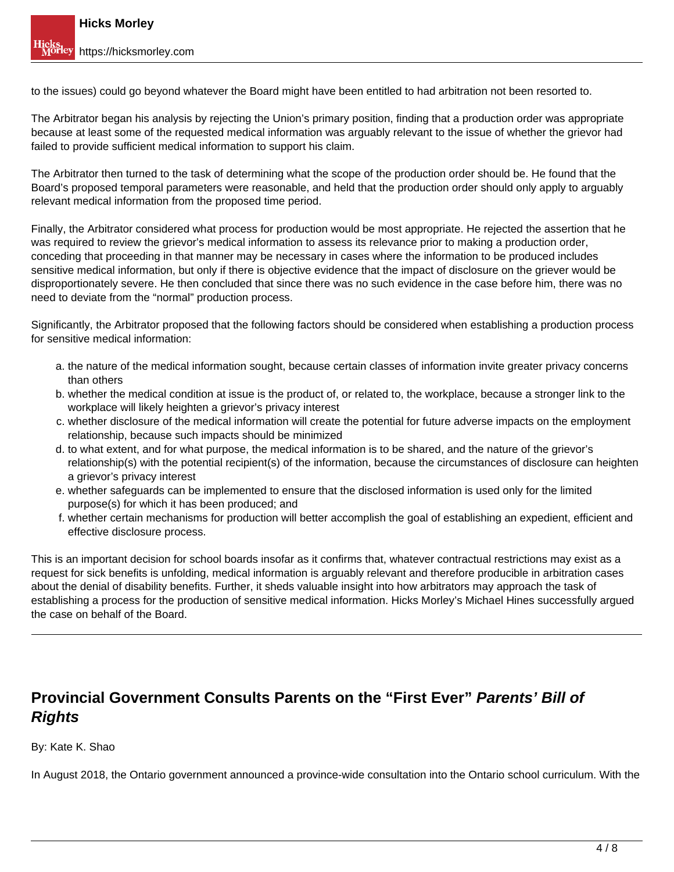to the issues) could go beyond whatever the Board might have been entitled to had arbitration not been resorted to.

The Arbitrator began his analysis by rejecting the Union's primary position, finding that a production order was appropriate because at least some of the requested medical information was arguably relevant to the issue of whether the grievor had failed to provide sufficient medical information to support his claim.

The Arbitrator then turned to the task of determining what the scope of the production order should be. He found that the Board's proposed temporal parameters were reasonable, and held that the production order should only apply to arguably relevant medical information from the proposed time period.

Finally, the Arbitrator considered what process for production would be most appropriate. He rejected the assertion that he was required to review the grievor's medical information to assess its relevance prior to making a production order, conceding that proceeding in that manner may be necessary in cases where the information to be produced includes sensitive medical information, but only if there is objective evidence that the impact of disclosure on the griever would be disproportionately severe. He then concluded that since there was no such evidence in the case before him, there was no need to deviate from the "normal" production process.

Significantly, the Arbitrator proposed that the following factors should be considered when establishing a production process for sensitive medical information:

- a. the nature of the medical information sought, because certain classes of information invite greater privacy concerns than others
- b. whether the medical condition at issue is the product of, or related to, the workplace, because a stronger link to the workplace will likely heighten a grievor's privacy interest
- c. whether disclosure of the medical information will create the potential for future adverse impacts on the employment relationship, because such impacts should be minimized
- d. to what extent, and for what purpose, the medical information is to be shared, and the nature of the grievor's relationship(s) with the potential recipient(s) of the information, because the circumstances of disclosure can heighten a grievor's privacy interest
- e. whether safeguards can be implemented to ensure that the disclosed information is used only for the limited purpose(s) for which it has been produced; and
- f. whether certain mechanisms for production will better accomplish the goal of establishing an expedient, efficient and effective disclosure process.

This is an important decision for school boards insofar as it confirms that, whatever contractual restrictions may exist as a request for sick benefits is unfolding, medical information is arguably relevant and therefore producible in arbitration cases about the denial of disability benefits. Further, it sheds valuable insight into how arbitrators may approach the task of establishing a process for the production of sensitive medical information. Hicks Morley's Michael Hines successfully argued the case on behalf of the Board.

# **Provincial Government Consults Parents on the "First Ever" Parents' Bill of Rights**

By: Kate K. Shao

In August 2018, the Ontario government announced a province-wide consultation into the Ontario school curriculum. With the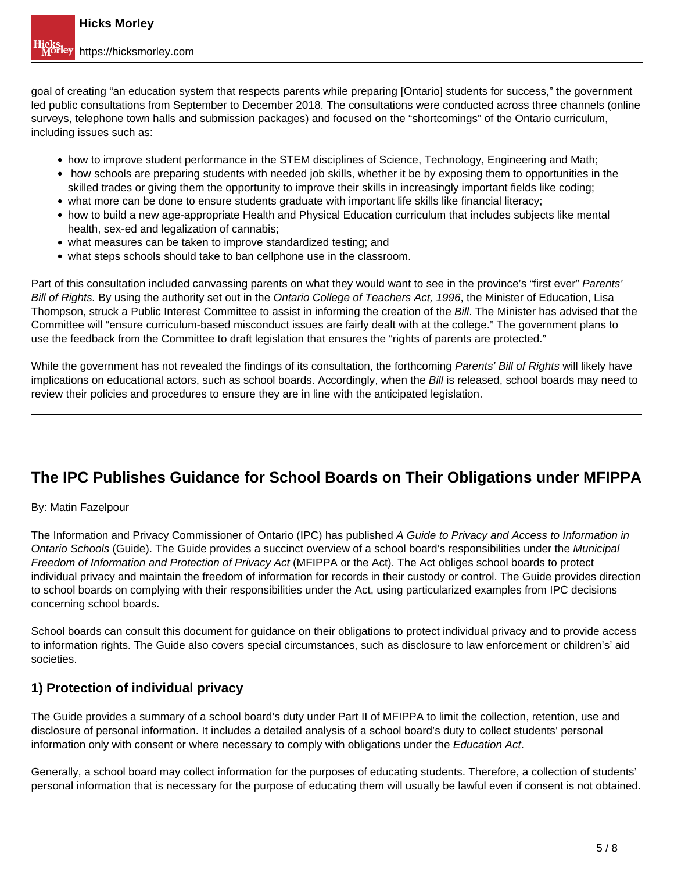goal of creating "an education system that respects parents while preparing [Ontario] students for success," the government led public consultations from September to December 2018. The consultations were conducted across three channels (online surveys, telephone town halls and submission packages) and focused on the "shortcomings" of the Ontario curriculum, including issues such as:

- how to improve student performance in the STEM disciplines of Science, Technology, Engineering and Math;
- how schools are preparing students with needed job skills, whether it be by exposing them to opportunities in the skilled trades or giving them the opportunity to improve their skills in increasingly important fields like coding;
- what more can be done to ensure students graduate with important life skills like financial literacy;
- how to build a new age-appropriate Health and Physical Education curriculum that includes subjects like mental health, sex-ed and legalization of cannabis;
- what measures can be taken to improve standardized testing; and
- what steps schools should take to ban cellphone use in the classroom.

Part of this consultation included canvassing parents on what they would want to see in the province's "first ever" Parents' Bill of Rights. By using the authority set out in the Ontario College of Teachers Act, 1996, the Minister of Education, Lisa Thompson, struck a Public Interest Committee to assist in informing the creation of the Bill. The Minister has advised that the Committee will "ensure curriculum-based misconduct issues are fairly dealt with at the college." The government plans to use the feedback from the Committee to draft legislation that ensures the "rights of parents are protected."

While the government has not revealed the findings of its consultation, the forthcoming Parents' Bill of Rights will likely have implications on educational actors, such as school boards. Accordingly, when the Bill is released, school boards may need to review their policies and procedures to ensure they are in line with the anticipated legislation.

# **The IPC Publishes Guidance for School Boards on Their Obligations under MFIPPA**

### By: Matin Fazelpour

The Information and Privacy Commissioner of Ontario (IPC) has published A Guide to Privacy and Access to Information in Ontario Schools (Guide). The Guide provides a succinct overview of a school board's responsibilities under the Municipal Freedom of Information and Protection of Privacy Act (MFIPPA or the Act). The Act obliges school boards to protect individual privacy and maintain the freedom of information for records in their custody or control. The Guide provides direction to school boards on complying with their responsibilities under the Act, using particularized examples from IPC decisions concerning school boards.

School boards can consult this document for guidance on their obligations to protect individual privacy and to provide access to information rights. The Guide also covers special circumstances, such as disclosure to law enforcement or children's' aid societies.

# **1) Protection of individual privacy**

The Guide provides a summary of a school board's duty under Part II of MFIPPA to limit the collection, retention, use and disclosure of personal information. It includes a detailed analysis of a school board's duty to collect students' personal information only with consent or where necessary to comply with obligations under the Education Act.

Generally, a school board may collect information for the purposes of educating students. Therefore, a collection of students' personal information that is necessary for the purpose of educating them will usually be lawful even if consent is not obtained.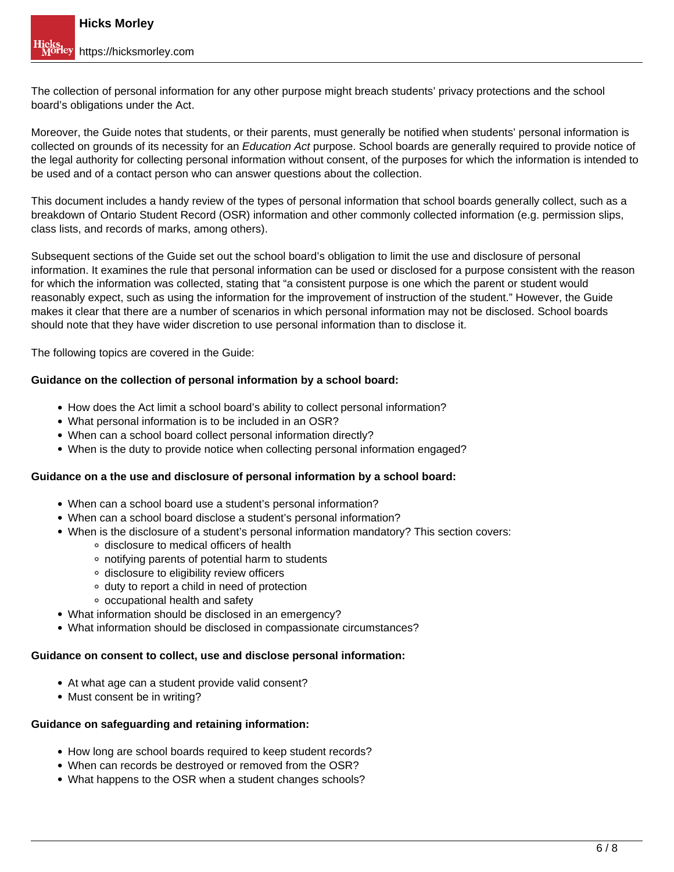The collection of personal information for any other purpose might breach students' privacy protections and the school board's obligations under the Act.

Moreover, the Guide notes that students, or their parents, must generally be notified when students' personal information is collected on grounds of its necessity for an Education Act purpose. School boards are generally required to provide notice of the legal authority for collecting personal information without consent, of the purposes for which the information is intended to be used and of a contact person who can answer questions about the collection.

This document includes a handy review of the types of personal information that school boards generally collect, such as a breakdown of Ontario Student Record (OSR) information and other commonly collected information (e.g. permission slips, class lists, and records of marks, among others).

Subsequent sections of the Guide set out the school board's obligation to limit the use and disclosure of personal information. It examines the rule that personal information can be used or disclosed for a purpose consistent with the reason for which the information was collected, stating that "a consistent purpose is one which the parent or student would reasonably expect, such as using the information for the improvement of instruction of the student." However, the Guide makes it clear that there are a number of scenarios in which personal information may not be disclosed. School boards should note that they have wider discretion to use personal information than to disclose it.

The following topics are covered in the Guide:

#### **Guidance on the collection of personal information by a school board:**

- How does the Act limit a school board's ability to collect personal information?
- What personal information is to be included in an OSR?
- When can a school board collect personal information directly?
- When is the duty to provide notice when collecting personal information engaged?

#### **Guidance on a the use and disclosure of personal information by a school board:**

- When can a school board use a student's personal information?
- When can a school board disclose a student's personal information?
- When is the disclosure of a student's personal information mandatory? This section covers:
	- o disclosure to medical officers of health
	- notifying parents of potential harm to students
	- disclosure to eligibility review officers
	- duty to report a child in need of protection
	- occupational health and safety
- What information should be disclosed in an emergency?
- What information should be disclosed in compassionate circumstances?

#### **Guidance on consent to collect, use and disclose personal information:**

- At what age can a student provide valid consent?
- Must consent be in writing?

#### **Guidance on safeguarding and retaining information:**

- How long are school boards required to keep student records?
- When can records be destroyed or removed from the OSR?
- What happens to the OSR when a student changes schools?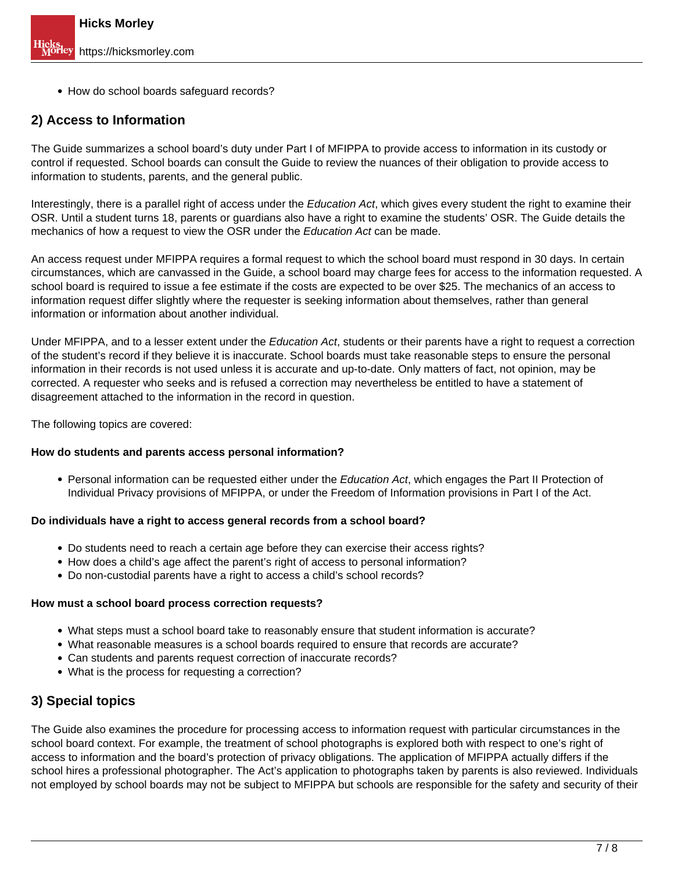• How do school boards safeguard records?

### **2) Access to Information**

The Guide summarizes a school board's duty under Part I of MFIPPA to provide access to information in its custody or control if requested. School boards can consult the Guide to review the nuances of their obligation to provide access to information to students, parents, and the general public.

Interestingly, there is a parallel right of access under the Education Act, which gives every student the right to examine their OSR. Until a student turns 18, parents or guardians also have a right to examine the students' OSR. The Guide details the mechanics of how a request to view the OSR under the Education Act can be made.

An access request under MFIPPA requires a formal request to which the school board must respond in 30 days. In certain circumstances, which are canvassed in the Guide, a school board may charge fees for access to the information requested. A school board is required to issue a fee estimate if the costs are expected to be over \$25. The mechanics of an access to information request differ slightly where the requester is seeking information about themselves, rather than general information or information about another individual.

Under MFIPPA, and to a lesser extent under the Education Act, students or their parents have a right to request a correction of the student's record if they believe it is inaccurate. School boards must take reasonable steps to ensure the personal information in their records is not used unless it is accurate and up-to-date. Only matters of fact, not opinion, may be corrected. A requester who seeks and is refused a correction may nevertheless be entitled to have a statement of disagreement attached to the information in the record in question.

The following topics are covered:

#### **How do students and parents access personal information?**

• Personal information can be requested either under the Education Act, which engages the Part II Protection of Individual Privacy provisions of MFIPPA, or under the Freedom of Information provisions in Part I of the Act.

#### **Do individuals have a right to access general records from a school board?**

- Do students need to reach a certain age before they can exercise their access rights?
- How does a child's age affect the parent's right of access to personal information?
- Do non-custodial parents have a right to access a child's school records?

#### **How must a school board process correction requests?**

- What steps must a school board take to reasonably ensure that student information is accurate?
- What reasonable measures is a school boards required to ensure that records are accurate?
- Can students and parents request correction of inaccurate records?
- What is the process for requesting a correction?

# **3) Special topics**

The Guide also examines the procedure for processing access to information request with particular circumstances in the school board context. For example, the treatment of school photographs is explored both with respect to one's right of access to information and the board's protection of privacy obligations. The application of MFIPPA actually differs if the school hires a professional photographer. The Act's application to photographs taken by parents is also reviewed. Individuals not employed by school boards may not be subject to MFIPPA but schools are responsible for the safety and security of their